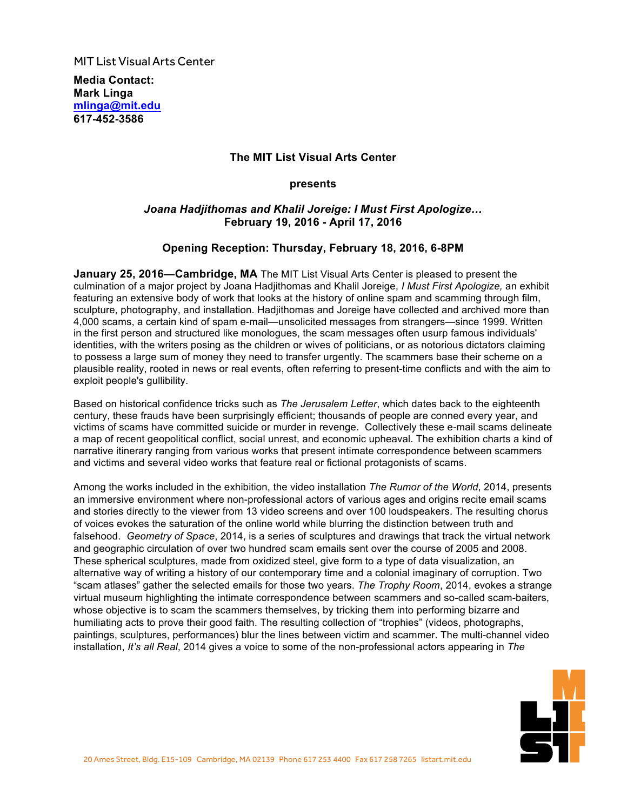**MIT List Visual Arts Center** 

**Media Contact: Mark Linga [mlinga@mit.edu](mailto:mlinga@mit.eu) [617-452-3586](tel:6174523586)**

# **The MIT List Visual Arts Center**

**presents**

# *Joana Hadjithomas and Khalil Joreige: I Must First Apologize…* **February 19, 2016 - April 17, 2016**

# **Opening Reception: Thursday, February 18, 2016, 6-8PM**

**January 25, 2016—Cambridge, MA** The MIT List Visual Arts Center is pleased to present the culmination of a major project by Joana Hadjithomas and Khalil Joreige, *I Must First Apologize,* an exhibit featuring an extensive body of work that looks at the history of online spam and scamming through film, sculpture, photography, and installation. Hadjithomas and Joreige have collected and archived more than 4,000 scams, a certain kind of spam e-mail—unsolicited messages from strangers—since 1999. Written in the first person and structured like monologues, the scam messages often usurp famous individuals' identities, with the writers posing as the children or wives of politicians, or as notorious dictators claiming to possess a large sum of money they need to transfer urgently. The scammers base their scheme on a plausible reality, rooted in news or real events, often referring to present-time conflicts and with the aim to exploit people's gullibility.

Based on historical confidence tricks such as *The Jerusalem Letter*, which dates back to the eighteenth century, these frauds have been surprisingly efficient; thousands of people are conned every year, and victims of scams have committed suicide or murder in revenge. Collectively these e-mail scams delineate a map of recent geopolitical conflict, social unrest, and economic upheaval. The exhibition charts a kind of narrative itinerary ranging from various works that present intimate correspondence between scammers and victims and several video works that feature real or fictional protagonists of scams.

Among the works included in the exhibition, the video installation *The Rumor of the World*, 2014, presents an immersive environment where non-professional actors of various ages and origins recite email scams and stories directly to the viewer from 13 video screens and over 100 loudspeakers. The resulting chorus of voices evokes the saturation of the online world while blurring the distinction between truth and falsehood. *Geometry of Space*, 2014, is a series of sculptures and drawings that track the virtual network and geographic circulation of over two hundred scam emails sent over the course of 2005 and 2008. These spherical sculptures, made from oxidized steel, give form to a type of data visualization, an alternative way of writing a history of our contemporary time and a colonial imaginary of corruption. Two "scam atlases" gather the selected emails for those two years. *The Trophy Room*, 2014, evokes a strange virtual museum highlighting the intimate correspondence between scammers and so-called scam-baiters, whose objective is to scam the scammers themselves, by tricking them into performing bizarre and humiliating acts to prove their good faith. The resulting collection of "trophies" (videos, photographs, paintings, sculptures, performances) blur the lines between victim and scammer. The multi-channel video installation, *It's all Real*, 2014 gives a voice to some of the non-professional actors appearing in *The*

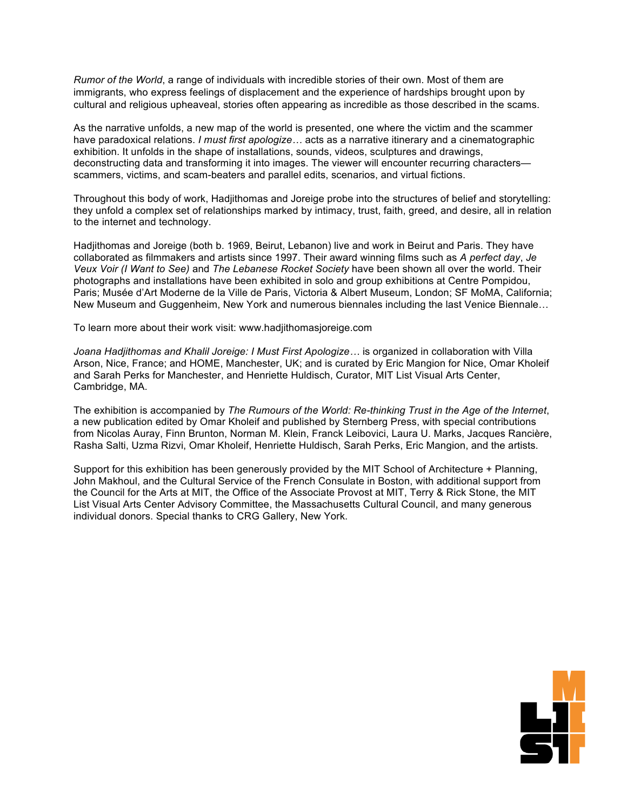*Rumor of the World*, a range of individuals with incredible stories of their own. Most of them are immigrants, who express feelings of displacement and the experience of hardships brought upon by cultural and religious upheaveal, stories often appearing as incredible as those described in the scams.

As the narrative unfolds, a new map of the world is presented, one where the victim and the scammer have paradoxical relations. *I must first apologize…* acts as a narrative itinerary and a cinematographic exhibition. It unfolds in the shape of installations, sounds, videos, sculptures and drawings, deconstructing data and transforming it into images. The viewer will encounter recurring characters scammers, victims, and scam-beaters and parallel edits, scenarios, and virtual fictions.

Throughout this body of work, Hadjithomas and Joreige probe into the structures of belief and storytelling: they unfold a complex set of relationships marked by intimacy, trust, faith, greed, and desire, all in relation to the internet and technology.

Hadjithomas and Joreige (both b. 1969, Beirut, Lebanon) live and work in Beirut and Paris. They have collaborated as filmmakers and artists since 1997. Their award winning films such as *A perfect day*, *Je Veux Voir (I Want to See)* and *The Lebanese Rocket Society* have been shown all over the world. Their photographs and installations have been exhibited in solo and group exhibitions at Centre Pompidou, Paris; Musée d'Art Moderne de la Ville de Paris, Victoria & Albert Museum, London; SF MoMA, California; New Museum and Guggenheim, New York and numerous biennales including the last Venice Biennale…

To learn more about their work visit: <www.hadjithomasjoreige.com>

*Joana Hadjithomas and Khalil Joreige: I Must First Apologize…* is organized in collaboration with Villa Arson, Nice, France; and HOME, Manchester, UK; and is curated by Eric Mangion for Nice, Omar Kholeif and Sarah Perks for Manchester, and Henriette Huldisch, Curator, MIT List Visual Arts Center, Cambridge, MA.

The exhibition is accompanied by *The Rumours of the World: Re-thinking Trust in the Age of the Internet*, a new publication edited by Omar Kholeif and published by Sternberg Press, with special contributions from Nicolas Auray, Finn Brunton, Norman M. Klein, Franck Leibovici, Laura U. Marks, Jacques Rancière, Rasha Salti, Uzma Rizvi, Omar Kholeif, Henriette Huldisch, Sarah Perks, Eric Mangion, and the artists.

Support for this exhibition has been generously provided by the MIT School of Architecture + Planning, John Makhoul, and the Cultural Service of the French Consulate in Boston, with additional support from the Council for the Arts at MIT, the Office of the Associate Provost at MIT, Terry & Rick Stone, the MIT List Visual Arts Center Advisory Committee, the Massachusetts Cultural Council, and many generous individual donors. Special thanks to CRG Gallery, New York.

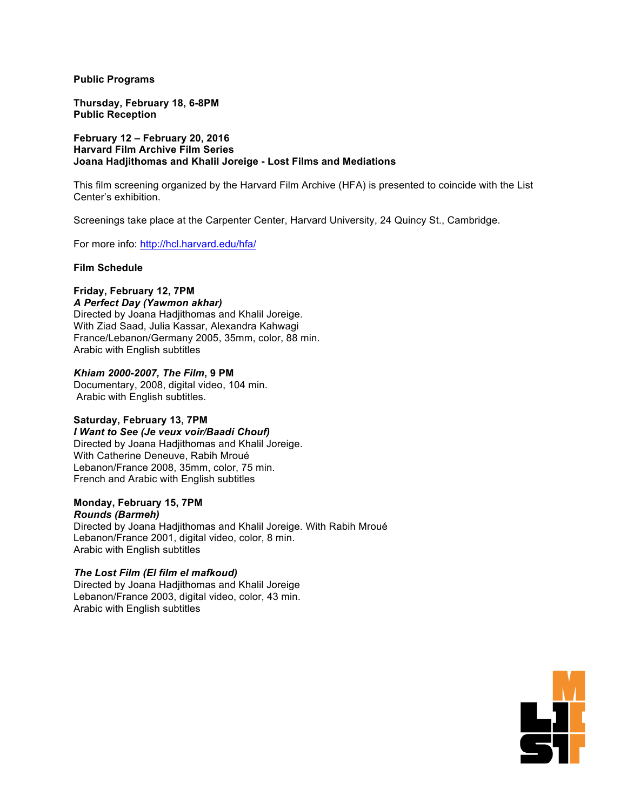**Public Programs**

**Thursday, February 18, 6-8PM Public Reception**

**February 12 – February 20, 2016 Harvard Film Archive Film Series Joana Hadjithomas and Khalil Joreige - Lost Films and Mediations**

This film screening organized by the Harvard Film Archive (HFA) is presented to coincide with the List Center's exhibition.

Screenings take place at the Carpenter Center, Harvard University, 24 Quincy St., Cambridge.

For more info: [http://hcl.harvard.edu/hfa/](http://hcl.harvard.edu/hfa)

#### **Film Schedule**

# **Friday, February 12, 7PM**

*A Perfect Day (Yawmon akhar)* Directed by Joana Hadjithomas and Khalil Joreige. With Ziad Saad, Julia Kassar, Alexandra Kahwagi France/Lebanon/Germany 2005, 35mm, color, 88 min. Arabic with English subtitles

## *Khiam 2000-2007, The Film***, 9 PM**

Documentary, 2008, digital video, 104 min. Arabic with English subtitles.

## **Saturday, February 13, 7PM**

*I Want to See (Je veux voir/Baadi Chouf)* Directed by Joana Hadjithomas and Khalil Joreige. With Catherine Deneuve, Rabih Mroué Lebanon/France 2008, 35mm, color, 75 min. French and Arabic with English subtitles

#### **Monday, February 15, 7PM** *Rounds (Barmeh)*

Directed by Joana Hadjithomas and Khalil Joreige. With Rabih Mroué Lebanon/France 2001, digital video, color, 8 min. Arabic with English subtitles

## *The Lost Film (El film el mafkoud)*

Directed by Joana Hadjithomas and Khalil Joreige Lebanon/France 2003, digital video, color, 43 min. Arabic with English subtitles

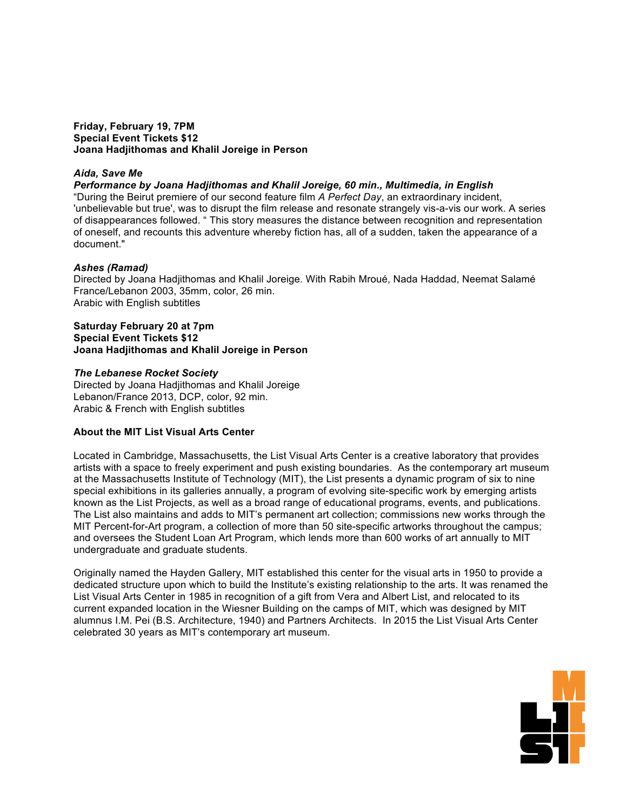#### **Friday, February 19, 7PM Special Event Tickets \$12 Joana Hadjithomas and Khalil Joreige in Person**

# *Aida, Save Me*

*Performance by Joana Hadjithomas and Khalil Joreige, 60 min., Multimedia, in English*

"During the Beirut premiere of our second feature film *A Perfect Day*, an extraordinary incident, 'unbelievable but true', was to disrupt the film release and resonate strangely vis-a-vis our work. A series of disappearances followed. " This story measures the distance between recognition and representation of oneself, and recounts this adventure whereby fiction has, all of a sudden, taken the appearance of a document."

## *Ashes (Ramad)*

Directed by Joana Hadjithomas and Khalil Joreige. With Rabih Mroué, Nada Haddad, Neemat Salamé France/Lebanon 2003, 35mm, color, 26 min. Arabic with English subtitles

#### **Saturday February 20 at 7pm Special Event Tickets \$12 Joana Hadjithomas and Khalil Joreige in Person**

#### *The Lebanese Rocket Society*

Directed by Joana Hadjithomas and Khalil Joreige Lebanon/France 2013, DCP, color, 92 min. Arabic & French with English subtitles

## **About the MIT List Visual Arts Center**

Located in Cambridge, Massachusetts, the List Visual Arts Center is a creative laboratory that provides artists with a space to freely experiment and push existing boundaries. As the contemporary art museum at the Massachusetts Institute of Technology (MIT), the List presents a dynamic program of six to nine special exhibitions in its galleries annually, a program of evolving site-specific work by emerging artists known as the List Projects, as well as a broad range of educational programs, events, and publications. The List also maintains and adds to MIT's permanent art collection; commissions new works through the MIT Percent-for-Art program, a collection of more than 50 site-specific artworks throughout the campus; and oversees the Student Loan Art Program, which lends more than 600 works of art annually to MIT undergraduate and graduate students.

Originally named the Hayden Gallery, MIT established this center for the visual arts in 1950 to provide a dedicated structure upon which to build the Institute's existing relationship to the arts. It was renamed the List Visual Arts Center in 1985 in recognition of a gift from Vera and Albert List, and relocated to its current expanded location in the Wiesner Building on the camps of MIT, which was designed by MIT alumnus I.M. Pei (B.S. Architecture, 1940) and Partners Architects. In 2015 the List Visual Arts Center celebrated 30 years as MIT's contemporary art museum.